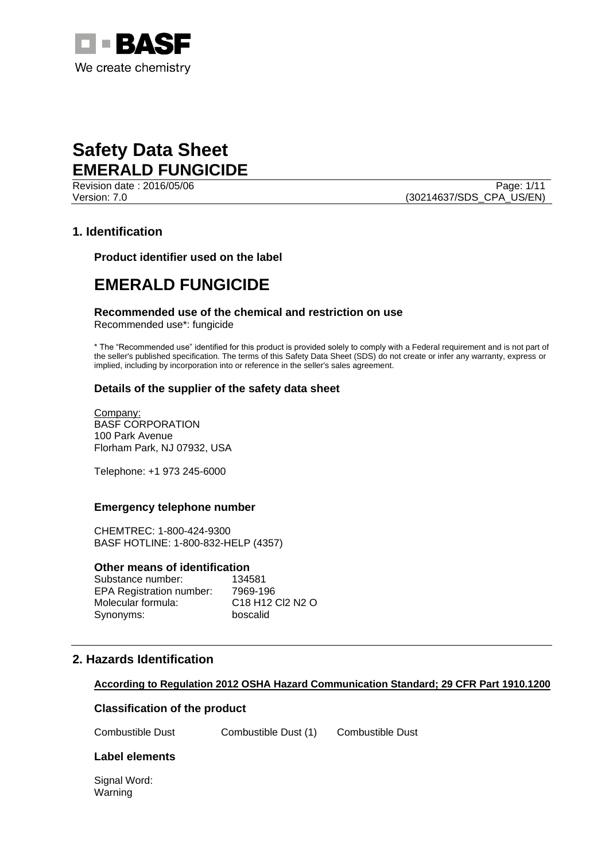

Revision date : 2016/05/06 Page: 1/11 Version: 7.0 (30214637/SDS\_CPA\_US/EN)

## **1. Identification**

**Product identifier used on the label**

## **EMERALD FUNGICIDE**

#### **Recommended use of the chemical and restriction on use**

Recommended use\*: fungicide

\* The "Recommended use" identified for this product is provided solely to comply with a Federal requirement and is not part of the seller's published specification. The terms of this Safety Data Sheet (SDS) do not create or infer any warranty, express or implied, including by incorporation into or reference in the seller's sales agreement.

## **Details of the supplier of the safety data sheet**

Company: BASF CORPORATION 100 Park Avenue Florham Park, NJ 07932, USA

Telephone: +1 973 245-6000

#### **Emergency telephone number**

CHEMTREC: 1-800-424-9300 BASF HOTLINE: 1-800-832-HELP (4357)

#### **Other means of identification**

| Substance number:               | 134581                                                          |
|---------------------------------|-----------------------------------------------------------------|
| <b>EPA Registration number:</b> | 7969-196                                                        |
| Molecular formula:              | C <sub>18</sub> H <sub>12</sub> C <sub>2</sub> N <sub>2</sub> O |
| Synonyms:                       | boscalid                                                        |

## **2. Hazards Identification**

## **According to Regulation 2012 OSHA Hazard Communication Standard; 29 CFR Part 1910.1200**

## **Classification of the product**

Combustible Dust Combustible Dust (1) Combustible Dust

## **Label elements**

Signal Word: Warning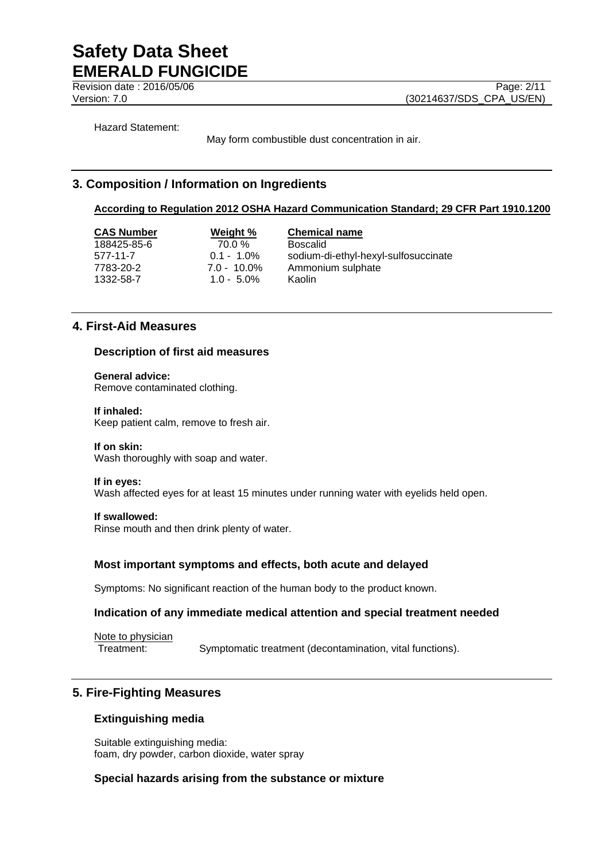**Revision date : 2016/05/06** Page: 2/11

Version: 7.0 (30214637/SDS\_CPA\_US/EN)

Hazard Statement:

May form combustible dust concentration in air.

## **3. Composition / Information on Ingredients**

#### **According to Regulation 2012 OSHA Hazard Communication Standard; 29 CFR Part 1910.1200**

188425-85-6 70.0 % Boscalid 1332-58-7 1.0 - 5.0% Kaolin

**CAS Number Weight % Chemical name** 577-11-7 0.1 - 1.0% sodium-di-ethyl-hexyl-sulfosuccinate 7783-20-2 7.0 - 10.0% Ammonium sulphate

## **4. First-Aid Measures**

#### **Description of first aid measures**

**General advice:** Remove contaminated clothing.

#### **If inhaled:**

Keep patient calm, remove to fresh air.

#### **If on skin:**

Wash thoroughly with soap and water.

#### **If in eyes:**

Wash affected eyes for at least 15 minutes under running water with eyelids held open.

#### **If swallowed:**

Rinse mouth and then drink plenty of water.

## **Most important symptoms and effects, both acute and delayed**

Symptoms: No significant reaction of the human body to the product known.

#### **Indication of any immediate medical attention and special treatment needed**

Note to physician

Treatment: Symptomatic treatment (decontamination, vital functions).

## **5. Fire-Fighting Measures**

## **Extinguishing media**

Suitable extinguishing media: foam, dry powder, carbon dioxide, water spray

## **Special hazards arising from the substance or mixture**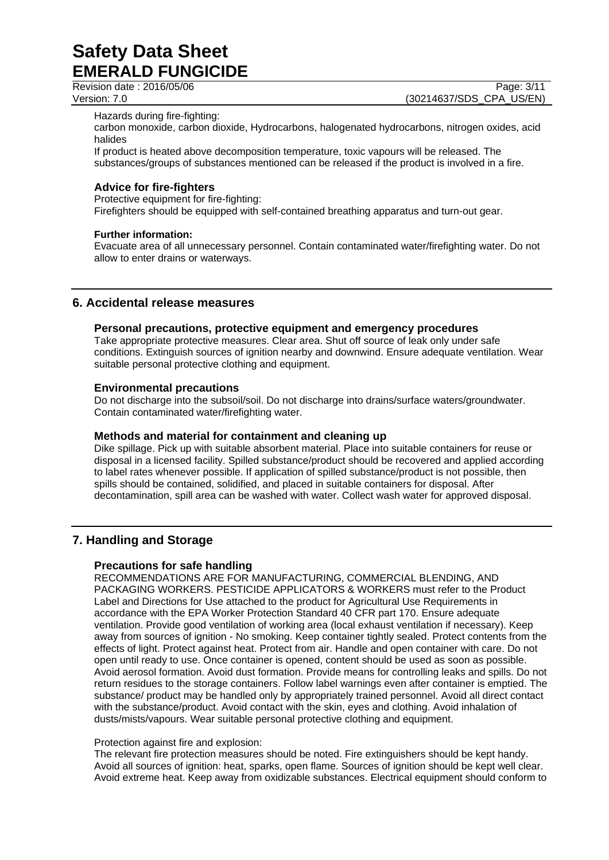Revision date : 2016/05/06 Page: 3/11

Version: 7.0 (30214637/SDS\_CPA\_US/EN)

Hazards during fire-fighting:

carbon monoxide, carbon dioxide, Hydrocarbons, halogenated hydrocarbons, nitrogen oxides, acid halides

If product is heated above decomposition temperature, toxic vapours will be released. The substances/groups of substances mentioned can be released if the product is involved in a fire.

## **Advice for fire-fighters**

Protective equipment for fire-fighting:

Firefighters should be equipped with self-contained breathing apparatus and turn-out gear.

#### **Further information:**

Evacuate area of all unnecessary personnel. Contain contaminated water/firefighting water. Do not allow to enter drains or waterways.

## **6. Accidental release measures**

#### **Personal precautions, protective equipment and emergency procedures**

Take appropriate protective measures. Clear area. Shut off source of leak only under safe conditions. Extinguish sources of ignition nearby and downwind. Ensure adequate ventilation. Wear suitable personal protective clothing and equipment.

#### **Environmental precautions**

Do not discharge into the subsoil/soil. Do not discharge into drains/surface waters/groundwater. Contain contaminated water/firefighting water.

## **Methods and material for containment and cleaning up**

Dike spillage. Pick up with suitable absorbent material. Place into suitable containers for reuse or disposal in a licensed facility. Spilled substance/product should be recovered and applied according to label rates whenever possible. If application of spilled substance/product is not possible, then spills should be contained, solidified, and placed in suitable containers for disposal. After decontamination, spill area can be washed with water. Collect wash water for approved disposal.

## **7. Handling and Storage**

## **Precautions for safe handling**

RECOMMENDATIONS ARE FOR MANUFACTURING, COMMERCIAL BLENDING, AND PACKAGING WORKERS. PESTICIDE APPLICATORS & WORKERS must refer to the Product Label and Directions for Use attached to the product for Agricultural Use Requirements in accordance with the EPA Worker Protection Standard 40 CFR part 170. Ensure adequate ventilation. Provide good ventilation of working area (local exhaust ventilation if necessary). Keep away from sources of ignition - No smoking. Keep container tightly sealed. Protect contents from the effects of light. Protect against heat. Protect from air. Handle and open container with care. Do not open until ready to use. Once container is opened, content should be used as soon as possible. Avoid aerosol formation. Avoid dust formation. Provide means for controlling leaks and spills. Do not return residues to the storage containers. Follow label warnings even after container is emptied. The substance/ product may be handled only by appropriately trained personnel. Avoid all direct contact with the substance/product. Avoid contact with the skin, eyes and clothing. Avoid inhalation of dusts/mists/vapours. Wear suitable personal protective clothing and equipment.

#### Protection against fire and explosion:

The relevant fire protection measures should be noted. Fire extinguishers should be kept handy. Avoid all sources of ignition: heat, sparks, open flame. Sources of ignition should be kept well clear. Avoid extreme heat. Keep away from oxidizable substances. Electrical equipment should conform to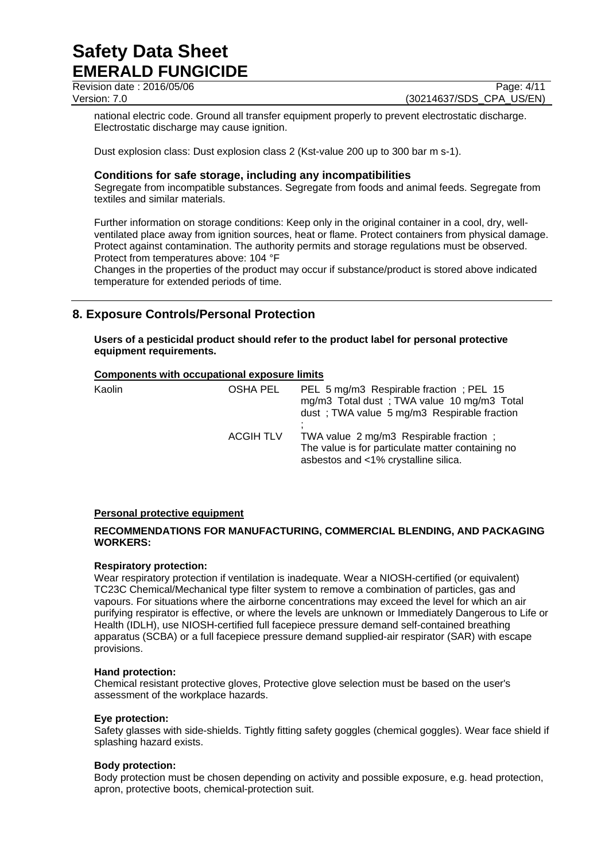Revision date : 2016/05/06 Page: 4/11

Version: 7.0 (30214637/SDS\_CPA\_US/EN)

national electric code. Ground all transfer equipment properly to prevent electrostatic discharge. Electrostatic discharge may cause ignition.

Dust explosion class: Dust explosion class 2 (Kst-value 200 up to 300 bar m s-1).

## **Conditions for safe storage, including any incompatibilities**

Segregate from incompatible substances. Segregate from foods and animal feeds. Segregate from textiles and similar materials.

Further information on storage conditions: Keep only in the original container in a cool, dry, wellventilated place away from ignition sources, heat or flame. Protect containers from physical damage. Protect against contamination. The authority permits and storage regulations must be observed. Protect from temperatures above: 104 °F

Changes in the properties of the product may occur if substance/product is stored above indicated temperature for extended periods of time.

## **8. Exposure Controls/Personal Protection**

**Users of a pesticidal product should refer to the product label for personal protective equipment requirements.**

## **Components with occupational exposure limits**

| Kaolin | OSHA PEL         | PEL 5 mg/m3 Respirable fraction; PEL 15<br>mg/m3 Total dust; TWA value 10 mg/m3 Total<br>dust; TWA value 5 mg/m3 Respirable fraction |
|--------|------------------|--------------------------------------------------------------------------------------------------------------------------------------|
|        | <b>ACGIH TLV</b> | TWA value 2 mg/m3 Respirable fraction;<br>The value is for particulate matter containing no<br>asbestos and <1% crystalline silica.  |

## **Personal protective equipment**

## **RECOMMENDATIONS FOR MANUFACTURING, COMMERCIAL BLENDING, AND PACKAGING WORKERS:**

## **Respiratory protection:**

Wear respiratory protection if ventilation is inadequate. Wear a NIOSH-certified (or equivalent) TC23C Chemical/Mechanical type filter system to remove a combination of particles, gas and vapours. For situations where the airborne concentrations may exceed the level for which an air purifying respirator is effective, or where the levels are unknown or Immediately Dangerous to Life or Health (IDLH), use NIOSH-certified full facepiece pressure demand self-contained breathing apparatus (SCBA) or a full facepiece pressure demand supplied-air respirator (SAR) with escape provisions.

#### **Hand protection:**

Chemical resistant protective gloves, Protective glove selection must be based on the user's assessment of the workplace hazards.

#### **Eye protection:**

Safety glasses with side-shields. Tightly fitting safety goggles (chemical goggles). Wear face shield if splashing hazard exists.

#### **Body protection:**

Body protection must be chosen depending on activity and possible exposure, e.g. head protection, apron, protective boots, chemical-protection suit.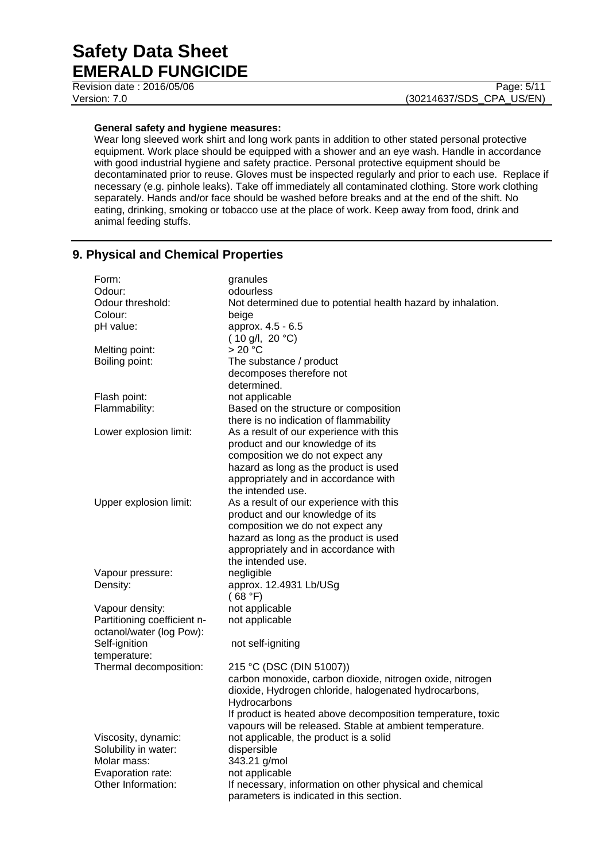Revision date : 2016/05/06 Page: 5/11

#### **General safety and hygiene measures:**

Wear long sleeved work shirt and long work pants in addition to other stated personal protective equipment. Work place should be equipped with a shower and an eye wash. Handle in accordance with good industrial hygiene and safety practice. Personal protective equipment should be decontaminated prior to reuse. Gloves must be inspected regularly and prior to each use. Replace if necessary (e.g. pinhole leaks). Take off immediately all contaminated clothing. Store work clothing separately. Hands and/or face should be washed before breaks and at the end of the shift. No eating, drinking, smoking or tobacco use at the place of work. Keep away from food, drink and animal feeding stuffs.

## **9. Physical and Chemical Properties**

| Form:                       | granules                                                     |
|-----------------------------|--------------------------------------------------------------|
| Odour:                      | odourless                                                    |
| Odour threshold:            | Not determined due to potential health hazard by inhalation. |
| Colour:                     | beige                                                        |
| pH value:                   | approx. 4.5 - 6.5                                            |
|                             | $(10 \text{ g/l}, 20 \text{ °C})$                            |
| Melting point:              | > 20 °C                                                      |
| Boiling point:              | The substance / product                                      |
|                             | decomposes therefore not                                     |
|                             | determined.                                                  |
| Flash point:                | not applicable                                               |
| Flammability:               | Based on the structure or composition                        |
|                             | there is no indication of flammability                       |
| Lower explosion limit:      | As a result of our experience with this                      |
|                             | product and our knowledge of its                             |
|                             | composition we do not expect any                             |
|                             | hazard as long as the product is used                        |
|                             | appropriately and in accordance with                         |
|                             | the intended use.                                            |
| Upper explosion limit:      | As a result of our experience with this                      |
|                             | product and our knowledge of its                             |
|                             | composition we do not expect any                             |
|                             | hazard as long as the product is used                        |
|                             | appropriately and in accordance with                         |
|                             | the intended use.                                            |
| Vapour pressure:            | negligible                                                   |
| Density:                    | approx. 12.4931 Lb/USg                                       |
|                             | (68 °F)                                                      |
| Vapour density:             | not applicable                                               |
| Partitioning coefficient n- | not applicable                                               |
| octanol/water (log Pow):    |                                                              |
| Self-ignition               | not self-igniting                                            |
| temperature:                |                                                              |
| Thermal decomposition:      | 215 °C (DSC (DIN 51007))                                     |
|                             | carbon monoxide, carbon dioxide, nitrogen oxide, nitrogen    |
|                             | dioxide, Hydrogen chloride, halogenated hydrocarbons,        |
|                             | Hydrocarbons                                                 |
|                             | If product is heated above decomposition temperature, toxic  |
|                             | vapours will be released. Stable at ambient temperature.     |
| Viscosity, dynamic:         | not applicable, the product is a solid                       |
| Solubility in water:        | dispersible                                                  |
| Molar mass:                 | 343.21 g/mol                                                 |
| Evaporation rate:           | not applicable                                               |
| Other Information:          | If necessary, information on other physical and chemical     |
|                             | parameters is indicated in this section.                     |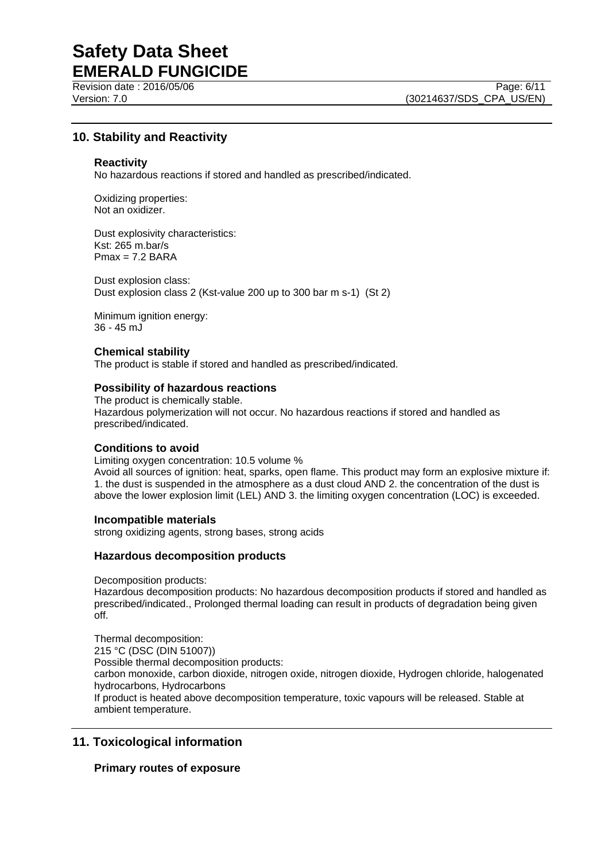Revision date : 2016/05/06 Page: 6/11

Version: 7.0 (30214637/SDS\_CPA\_US/EN)

## **10. Stability and Reactivity**

#### **Reactivity**

No hazardous reactions if stored and handled as prescribed/indicated.

Oxidizing properties: Not an oxidizer.

Dust explosivity characteristics: Kst: 265 m.bar/s  $Pmax = 7.2$  BARA

Dust explosion class: Dust explosion class 2 (Kst-value 200 up to 300 bar m s-1) (St 2)

Minimum ignition energy: 36 - 45 mJ

## **Chemical stability**

The product is stable if stored and handled as prescribed/indicated.

#### **Possibility of hazardous reactions**

The product is chemically stable. Hazardous polymerization will not occur. No hazardous reactions if stored and handled as prescribed/indicated.

## **Conditions to avoid**

Limiting oxygen concentration: 10.5 volume % Avoid all sources of ignition: heat, sparks, open flame. This product may form an explosive mixture if: 1. the dust is suspended in the atmosphere as a dust cloud AND 2. the concentration of the dust is above the lower explosion limit (LEL) AND 3. the limiting oxygen concentration (LOC) is exceeded.

#### **Incompatible materials**

strong oxidizing agents, strong bases, strong acids

#### **Hazardous decomposition products**

Decomposition products:

Hazardous decomposition products: No hazardous decomposition products if stored and handled as prescribed/indicated., Prolonged thermal loading can result in products of degradation being given off.

Thermal decomposition: 215 °C (DSC (DIN 51007)) Possible thermal decomposition products: carbon monoxide, carbon dioxide, nitrogen oxide, nitrogen dioxide, Hydrogen chloride, halogenated hydrocarbons, Hydrocarbons If product is heated above decomposition temperature, toxic vapours will be released. Stable at ambient temperature.

## **11. Toxicological information**

## **Primary routes of exposure**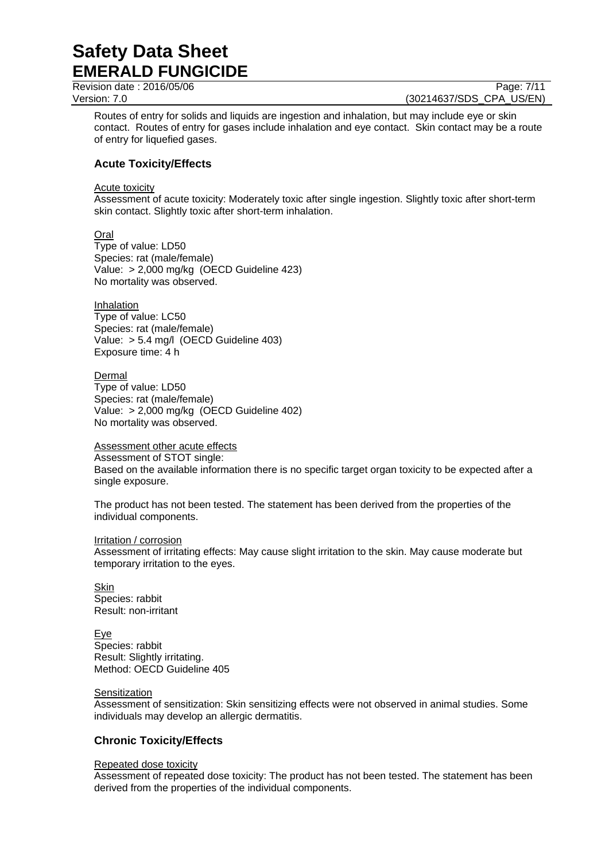Revision date : 2016/05/06 Page: 7/11

Version: 7.0 (30214637/SDS\_CPA\_US/EN)

Routes of entry for solids and liquids are ingestion and inhalation, but may include eye or skin contact. Routes of entry for gases include inhalation and eye contact. Skin contact may be a route of entry for liquefied gases.

## **Acute Toxicity/Effects**

Acute toxicity

Assessment of acute toxicity: Moderately toxic after single ingestion. Slightly toxic after short-term skin contact. Slightly toxic after short-term inhalation.

**Oral** Type of value: LD50 Species: rat (male/female) Value: > 2,000 mg/kg (OECD Guideline 423) No mortality was observed.

Inhalation Type of value: LC50 Species: rat (male/female) Value: > 5.4 mg/l (OECD Guideline 403) Exposure time: 4 h

Dermal Type of value: LD50 Species: rat (male/female) Value: > 2,000 mg/kg (OECD Guideline 402) No mortality was observed.

Assessment other acute effects

Assessment of STOT single:

Based on the available information there is no specific target organ toxicity to be expected after a single exposure.

The product has not been tested. The statement has been derived from the properties of the individual components.

#### Irritation / corrosion

Assessment of irritating effects: May cause slight irritation to the skin. May cause moderate but temporary irritation to the eyes.

Skin Species: rabbit Result: non-irritant

Eye Species: rabbit Result: Slightly irritating. Method: OECD Guideline 405

#### Sensitization

Assessment of sensitization: Skin sensitizing effects were not observed in animal studies. Some individuals may develop an allergic dermatitis.

## **Chronic Toxicity/Effects**

#### Repeated dose toxicity

Assessment of repeated dose toxicity: The product has not been tested. The statement has been derived from the properties of the individual components.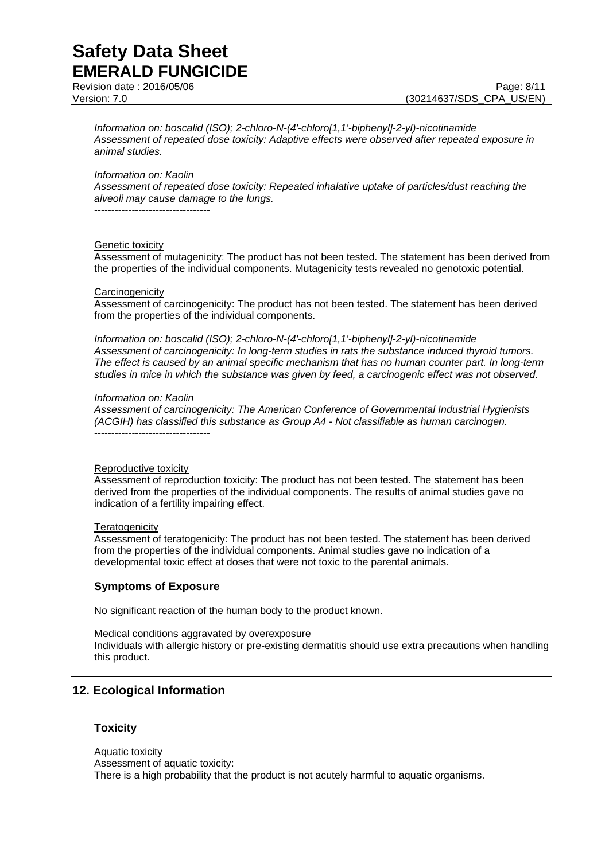Revision date : 2016/05/06 Page: 8/11

Version: 7.0 (30214637/SDS\_CPA\_US/EN)

*Information on: boscalid (ISO); 2-chloro-N-(4'-chloro[1,1'-biphenyl]-2-yl)-nicotinamide Assessment of repeated dose toxicity: Adaptive effects were observed after repeated exposure in animal studies.*

#### *Information on: Kaolin*

*Assessment of repeated dose toxicity: Repeated inhalative uptake of particles/dust reaching the alveoli may cause damage to the lungs.*

----------------------------------

#### Genetic toxicity

Assessment of mutagenicity: The product has not been tested. The statement has been derived from the properties of the individual components. Mutagenicity tests revealed no genotoxic potential.

#### **Carcinogenicity**

Assessment of carcinogenicity: The product has not been tested. The statement has been derived from the properties of the individual components.

*Information on: boscalid (ISO); 2-chloro-N-(4'-chloro[1,1'-biphenyl]-2-yl)-nicotinamide Assessment of carcinogenicity: In long-term studies in rats the substance induced thyroid tumors. The effect is caused by an animal specific mechanism that has no human counter part. In long-term studies in mice in which the substance was given by feed, a carcinogenic effect was not observed.*

#### *Information on: Kaolin*

*Assessment of carcinogenicity: The American Conference of Governmental Industrial Hygienists (ACGIH) has classified this substance as Group A4 - Not classifiable as human carcinogen.* ----------------------------------

#### Reproductive toxicity

Assessment of reproduction toxicity: The product has not been tested. The statement has been derived from the properties of the individual components. The results of animal studies gave no indication of a fertility impairing effect.

#### **Teratogenicity**

Assessment of teratogenicity: The product has not been tested. The statement has been derived from the properties of the individual components. Animal studies gave no indication of a developmental toxic effect at doses that were not toxic to the parental animals.

#### **Symptoms of Exposure**

No significant reaction of the human body to the product known.

Medical conditions aggravated by overexposure

Individuals with allergic history or pre-existing dermatitis should use extra precautions when handling this product.

## **12. Ecological Information**

#### **Toxicity**

Aquatic toxicity Assessment of aquatic toxicity: There is a high probability that the product is not acutely harmful to aquatic organisms.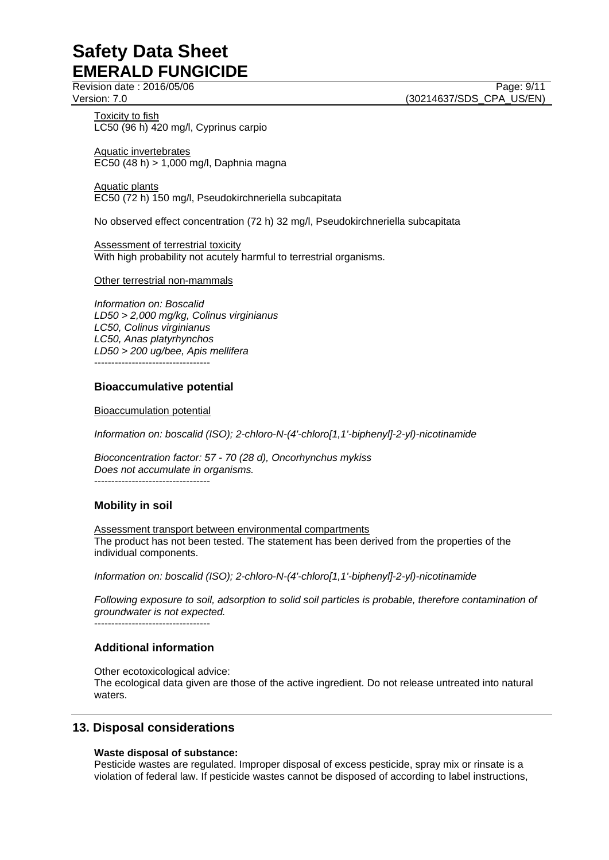Revision date : 2016/05/06 Page: 9/11

Version: 7.0 (30214637/SDS\_CPA\_US/EN)

Toxicity to fish LC50 (96 h) 420 mg/l, Cyprinus carpio

Aquatic invertebrates EC50 (48 h) > 1,000 mg/l, Daphnia magna

Aquatic plants EC50 (72 h) 150 mg/l, Pseudokirchneriella subcapitata

No observed effect concentration (72 h) 32 mg/l, Pseudokirchneriella subcapitata

Assessment of terrestrial toxicity With high probability not acutely harmful to terrestrial organisms.

#### Other terrestrial non-mammals

*Information on: Boscalid LD50 > 2,000 mg/kg, Colinus virginianus LC50, Colinus virginianus LC50, Anas platyrhynchos LD50 > 200 ug/bee, Apis mellifera* ----------------------------------

#### **Bioaccumulative potential**

Bioaccumulation potential

*Information on: boscalid (ISO); 2-chloro-N-(4'-chloro[1,1'-biphenyl]-2-yl)-nicotinamide*

*Bioconcentration factor: 57 - 70 (28 d), Oncorhynchus mykiss Does not accumulate in organisms.*  $-$ 

## **Mobility in soil**

Assessment transport between environmental compartments The product has not been tested. The statement has been derived from the properties of the individual components.

*Information on: boscalid (ISO); 2-chloro-N-(4'-chloro[1,1'-biphenyl]-2-yl)-nicotinamide*

*Following exposure to soil, adsorption to solid soil particles is probable, therefore contamination of groundwater is not expected.*

----------------------------------

## **Additional information**

Other ecotoxicological advice: The ecological data given are those of the active ingredient. Do not release untreated into natural waters.

## **13. Disposal considerations**

#### **Waste disposal of substance:**

Pesticide wastes are regulated. Improper disposal of excess pesticide, spray mix or rinsate is a violation of federal law. If pesticide wastes cannot be disposed of according to label instructions,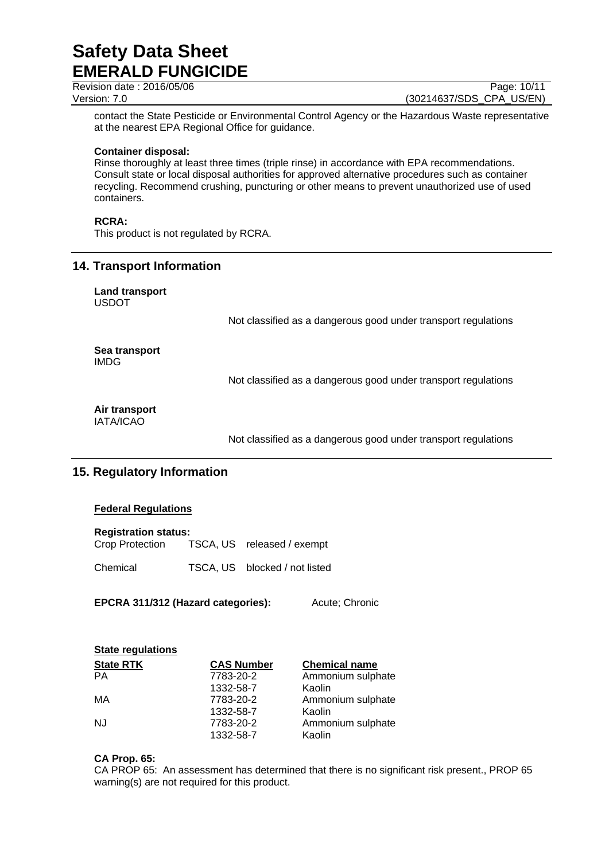**Revision date : 2016/05/06 Page: 10/11** 

Version: 7.0 (30214637/SDS\_CPA\_US/EN)

contact the State Pesticide or Environmental Control Agency or the Hazardous Waste representative at the nearest EPA Regional Office for guidance.

#### **Container disposal:**

Rinse thoroughly at least three times (triple rinse) in accordance with EPA recommendations. Consult state or local disposal authorities for approved alternative procedures such as container recycling. Recommend crushing, puncturing or other means to prevent unauthorized use of used containers.

## **RCRA:**

This product is not regulated by RCRA.

## **14. Transport Information**

**Land transport** USDOT

Not classified as a dangerous good under transport regulations

## **Sea transport** IMDG

Not classified as a dangerous good under transport regulations

## **Air transport**

IATA/ICAO

Not classified as a dangerous good under transport regulations

## **15. Regulatory Information**

## **Federal Regulations**

| <b>Registration status:</b> |                            |
|-----------------------------|----------------------------|
| Crop Protection             | TSCA, US released / exempt |

Chemical TSCA, US blocked / not listed

**EPCRA 311/312 (Hazard categories):** Acute; Chronic

| <b>State regulations</b> |                   |                      |  |
|--------------------------|-------------------|----------------------|--|
| <b>State RTK</b>         | <b>CAS Number</b> | <b>Chemical name</b> |  |
| <b>PA</b>                | 7783-20-2         | Ammonium sulphate    |  |
|                          | 1332-58-7         | Kaolin               |  |
| МA                       | 7783-20-2         | Ammonium sulphate    |  |
|                          | 1332-58-7         | Kaolin               |  |
| <b>NJ</b>                | 7783-20-2         | Ammonium sulphate    |  |
|                          | 1332-58-7         | Kaolin               |  |

## **CA Prop. 65:**

CA PROP 65: An assessment has determined that there is no significant risk present., PROP 65 warning(s) are not required for this product.